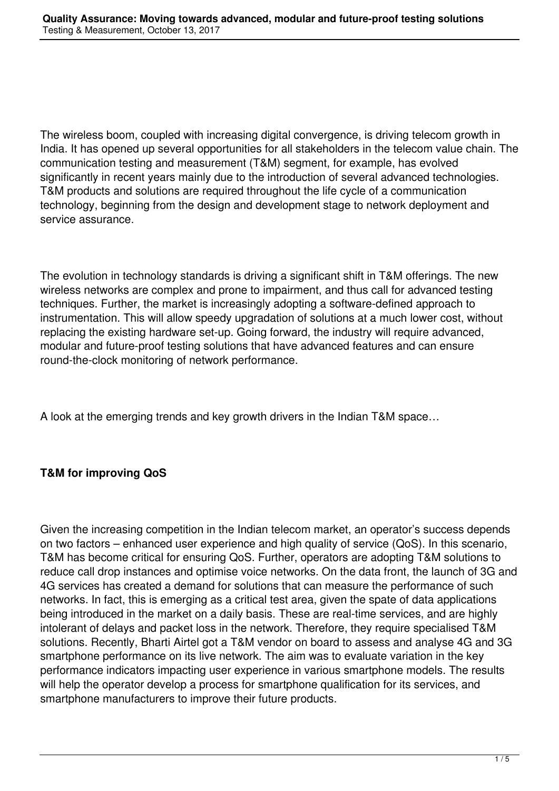The wireless boom, coupled with increasing digital convergence, is driving telecom growth in India. It has opened up several opportunities for all stakeholders in the telecom value chain. The communication testing and measurement (T&M) segment, for example, has evolved significantly in recent years mainly due to the introduction of several advanced technologies. T&M products and solutions are required throughout the life cycle of a communication technology, beginning from the design and development stage to network deployment and service assurance.

The evolution in technology standards is driving a significant shift in T&M offerings. The new wireless networks are complex and prone to impairment, and thus call for advanced testing techniques. Further, the market is increasingly adopting a software-defined approach to instrumentation. This will allow speedy upgradation of solutions at a much lower cost, without replacing the existing hardware set-up. Going forward, the industry will require advanced, modular and future-proof testing solutions that have advanced features and can ensure round-the-clock monitoring of network performance.

A look at the emerging trends and key growth drivers in the Indian T&M space…

# **T&M for improving QoS**

Given the increasing competition in the Indian telecom market, an operator's success depends on two factors – enhanced user experience and high quality of service (QoS). In this scenario, T&M has become critical for ensuring QoS. Further, operators are adopting T&M solutions to reduce call drop instances and optimise voice networks. On the data front, the launch of 3G and 4G services has created a demand for solutions that can measure the performance of such networks. In fact, this is emerging as a critical test area, given the spate of data applications being introduced in the market on a daily basis. These are real-time services, and are highly intolerant of delays and packet loss in the network. Therefore, they require specialised T&M solutions. Recently, Bharti Airtel got a T&M vendor on board to assess and analyse 4G and 3G smartphone performance on its live network. The aim was to evaluate variation in the key performance indicators impacting user experience in various smartphone models. The results will help the operator develop a process for smartphone qualification for its services, and smartphone manufacturers to improve their future products.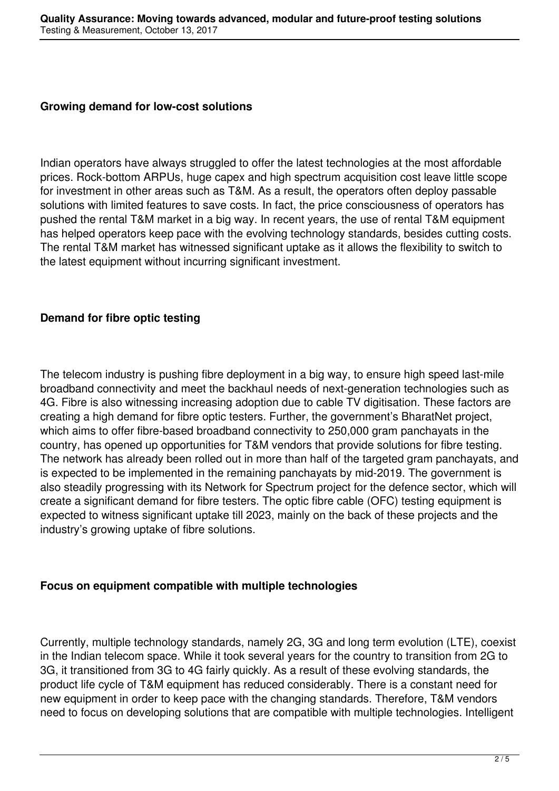#### **Growing demand for low-cost solutions**

Indian operators have always struggled to offer the latest technologies at the most affordable prices. Rock-bottom ARPUs, huge capex and high spectrum acquisition cost leave little scope for investment in other areas such as T&M. As a result, the operators often deploy passable solutions with limited features to save costs. In fact, the price consciousness of operators has pushed the rental T&M market in a big way. In recent years, the use of rental T&M equipment has helped operators keep pace with the evolving technology standards, besides cutting costs. The rental T&M market has witnessed significant uptake as it allows the flexibility to switch to the latest equipment without incurring significant investment.

## **Demand for fibre optic testing**

The telecom industry is pushing fibre deployment in a big way, to ensure high speed last-mile broadband connectivity and meet the backhaul needs of next-generation technologies such as 4G. Fibre is also witnessing increasing adoption due to cable TV digitisation. These factors are creating a high demand for fibre optic testers. Further, the government's BharatNet project, which aims to offer fibre-based broadband connectivity to 250,000 gram panchayats in the country, has opened up opportunities for T&M vendors that provide solutions for fibre testing. The network has already been rolled out in more than half of the targeted gram panchayats, and is expected to be implemented in the remaining panchayats by mid-2019. The government is also steadily progressing with its Network for Spectrum project for the defence sector, which will create a significant demand for fibre testers. The optic fibre cable (OFC) testing equipment is expected to witness significant uptake till 2023, mainly on the back of these projects and the industry's growing uptake of fibre solutions.

## **Focus on equipment compatible with multiple technologies**

Currently, multiple technology standards, namely 2G, 3G and long term evolution (LTE), coexist in the Indian telecom space. While it took several years for the country to transition from 2G to 3G, it transitioned from 3G to 4G fairly quickly. As a result of these evolving standards, the product life cycle of T&M equipment has reduced considerably. There is a constant need for new equipment in order to keep pace with the changing standards. Therefore, T&M vendors need to focus on developing solutions that are compatible with multiple technologies. Intelligent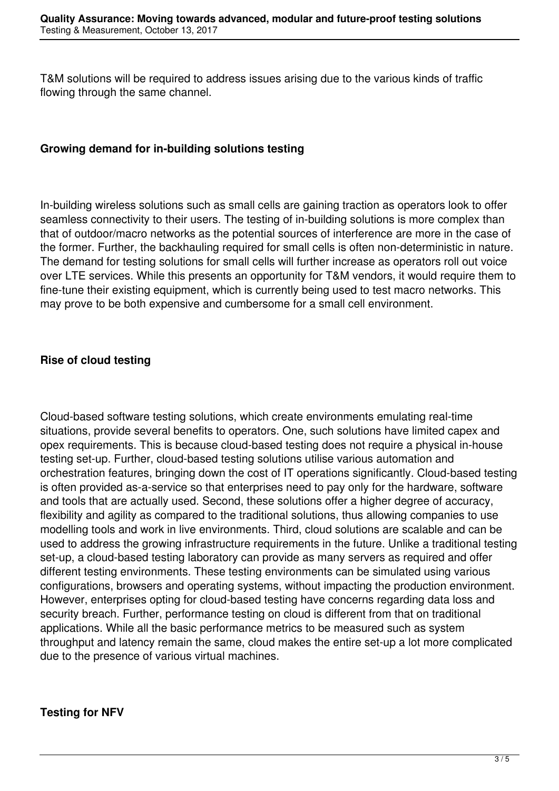T&M solutions will be required to address issues arising due to the various kinds of traffic flowing through the same channel.

#### **Growing demand for in-building solutions testing**

In-building wireless solutions such as small cells are gaining traction as operators look to offer seamless connectivity to their users. The testing of in-building solutions is more complex than that of outdoor/macro networks as the potential sources of interference are more in the case of the former. Further, the backhauling required for small cells is often non-deterministic in nature. The demand for testing solutions for small cells will further increase as operators roll out voice over LTE services. While this presents an opportunity for T&M vendors, it would require them to fine-tune their existing equipment, which is currently being used to test macro networks. This may prove to be both expensive and cumbersome for a small cell environment.

## **Rise of cloud testing**

Cloud-based software testing solutions, which create environments emulating real-time situations, provide several benefits to operators. One, such solutions have limited capex and opex requirements. This is because cloud-based testing does not require a physical in-house testing set-up. Further, cloud-based testing solutions utilise various automation and orchestration features, bringing down the cost of IT operations significantly. Cloud-based testing is often provided as-a-service so that enterprises need to pay only for the hardware, software and tools that are actually used. Second, these solutions offer a higher degree of accuracy, flexibility and agility as compared to the traditional solutions, thus allowing companies to use modelling tools and work in live environments. Third, cloud solutions are scalable and can be used to address the growing infrastructure requirements in the future. Unlike a traditional testing set-up, a cloud-based testing laboratory can provide as many servers as required and offer different testing environments. These testing environments can be simulated using various configurations, browsers and operating systems, without impacting the production environment. However, enterprises opting for cloud-based testing have concerns regarding data loss and security breach. Further, performance testing on cloud is different from that on traditional applications. While all the basic performance metrics to be measured such as system throughput and latency remain the same, cloud makes the entire set-up a lot more complicated due to the presence of various virtual machines.

## **Testing for NFV**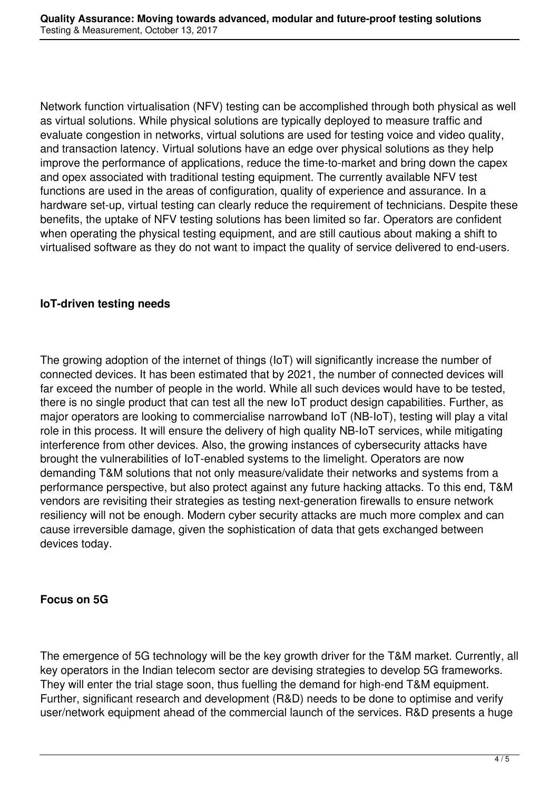Network function virtualisation (NFV) testing can be accomplished through both physical as well as virtual solutions. While physical solutions are typically deployed to measure traffic and evaluate congestion in networks, virtual solutions are used for testing voice and video quality, and transaction latency. Virtual solutions have an edge over physical solutions as they help improve the performance of applications, reduce the time-to-market and bring down the capex and opex associated with traditional testing equipment. The currently available NFV test functions are used in the areas of configuration, quality of experience and assurance. In a hardware set-up, virtual testing can clearly reduce the requirement of technicians. Despite these benefits, the uptake of NFV testing solutions has been limited so far. Operators are confident when operating the physical testing equipment, and are still cautious about making a shift to virtualised software as they do not want to impact the quality of service delivered to end-users.

## **IoT-driven testing needs**

The growing adoption of the internet of things (IoT) will significantly increase the number of connected devices. It has been estimated that by 2021, the number of connected devices will far exceed the number of people in the world. While all such devices would have to be tested, there is no single product that can test all the new IoT product design capabilities. Further, as major operators are looking to commercialise narrowband IoT (NB-IoT), testing will play a vital role in this process. It will ensure the delivery of high quality NB-IoT services, while mitigating interference from other devices. Also, the growing instances of cybersecurity attacks have brought the vulnerabilities of IoT-enabled systems to the limelight. Operators are now demanding T&M solutions that not only measure/validate their networks and systems from a performance perspective, but also protect against any future hacking attacks. To this end, T&M vendors are revisiting their strategies as testing next-generation firewalls to ensure network resiliency will not be enough. Modern cyber security attacks are much more complex and can cause irreversible damage, given the sophistication of data that gets exchanged between devices today.

## **Focus on 5G**

The emergence of 5G technology will be the key growth driver for the T&M market. Currently, all key operators in the Indian telecom sector are devising strategies to develop 5G frameworks. They will enter the trial stage soon, thus fuelling the demand for high-end T&M equipment. Further, significant research and development (R&D) needs to be done to optimise and verify user/network equipment ahead of the commercial launch of the services. R&D presents a huge